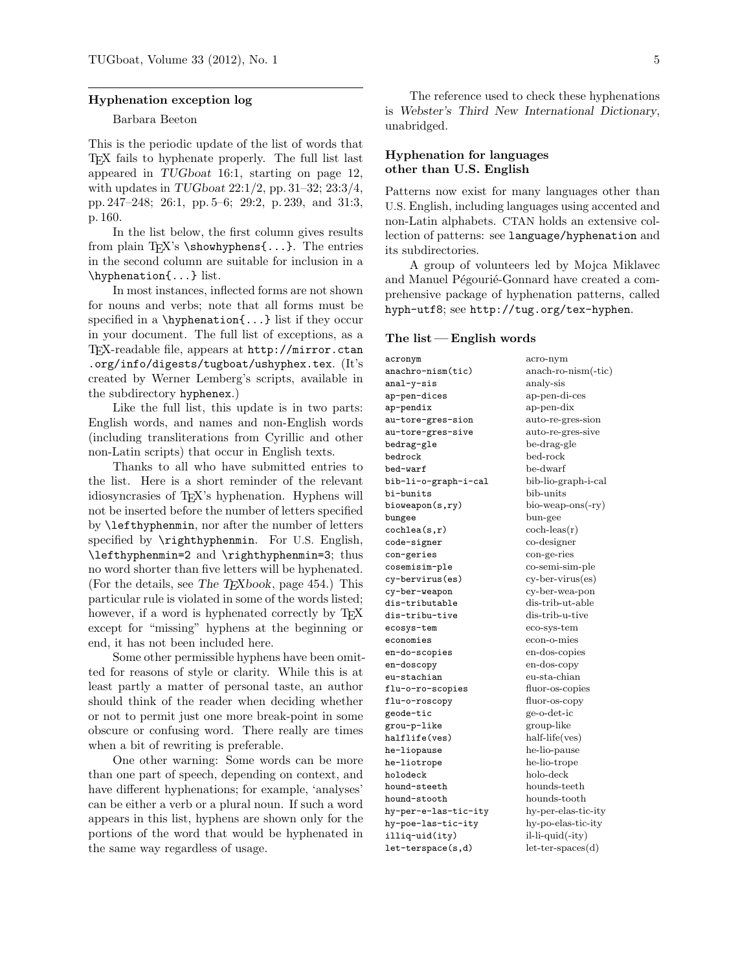### Hyphenation exception log

## Barbara Beeton

This is the periodic update of the list of words that TEX fails to hyphenate properly. The full list last appeared in TUGboat 16:1, starting on page 12, with updates in TUGboat 22:1/2, pp. 31–32; 23:3/4, pp. 247–248; 26:1, pp. 5–6; 29:2, p. 239, and 31:3, p. 160.

In the list below, the first column gives results from plain TFX's \showhyphens{...}. The entries in the second column are suitable for inclusion in a \hyphenation{...} list.

In most instances, inflected forms are not shown for nouns and verbs; note that all forms must be specified in a  $\hbar$ yphenation $\{\ldots\}$  list if they occur in your document. The full list of exceptions, as a TEX-readable file, appears at http://mirror.ctan .org/info/digests/tugboat/ushyphex.tex. (It's created by Werner Lemberg's scripts, available in the subdirectory hyphenex.)

Like the full list, this update is in two parts: English words, and names and non-English words (including transliterations from Cyrillic and other non-Latin scripts) that occur in English texts.

Thanks to all who have submitted entries to the list. Here is a short reminder of the relevant idiosyncrasies of TEX's hyphenation. Hyphens will not be inserted before the number of letters specified by \lefthyphenmin, nor after the number of letters specified by \righthyphenmin. For U.S. English, \lefthyphenmin=2 and \righthyphenmin=3; thus no word shorter than five letters will be hyphenated. (For the details, see The  $T_{F}Xbook$ , page 454.) This particular rule is violated in some of the words listed; however, if a word is hyphenated correctly by TEX except for "missing" hyphens at the beginning or end, it has not been included here.

Some other permissible hyphens have been omitted for reasons of style or clarity. While this is at least partly a matter of personal taste, an author should think of the reader when deciding whether or not to permit just one more break-point in some obscure or confusing word. There really are times when a bit of rewriting is preferable.

One other warning: Some words can be more than one part of speech, depending on context, and have different hyphenations; for example, 'analyses' can be either a verb or a plural noun. If such a word appears in this list, hyphens are shown only for the portions of the word that would be hyphenated in the same way regardless of usage.

The reference used to check these hyphenations is Webster's Third New International Dictionary, unabridged.

# Hyphenation for languages other than U.S. English

Patterns now exist for many languages other than U.S. English, including languages using accented and non-Latin alphabets. CTAN holds an extensive collection of patterns: see language/hyphenation and its subdirectories.

A group of volunteers led by Mojca Miklavec and Manuel Pégourié-Gonnard have created a comprehensive package of hyphenation patterns, called hyph-utf8; see http://tug.org/tex-hyphen.

#### The list  $-$  English words

acronym acro-nym acro-nym anachro-nism(tic) anach-roanal-y-sis analy-sis ap-pen-dices ap-pen-di-ces ap-pendix ap-pen-dix au-tore-gres-sion auto-re-gres-sion au-tore-gres-sive auto-re-gres-sive bedrag-gle be-drag-gle bedrock bed-rock bed-warf be-dwarf bib-li-o-graph-i-cal bib-lio-graph-i-cal bi-bunits bib-units bioweapon(s,ry) bio-weap-ons(-ry) bungee bun-gee  $cochlea(s,r)$  coch-leas(r) code-signer co-designer con-geries con-ge-ries cosemisim-ple co-semi-sim-ple cy-bervirus(es) cy-ber-virus(es) cy-ber-weapon cy-ber-wea-pon dis-tributable dis-trib-ut-able dis-tribu-tive dis-trib-u-tive ecosys-tem eco-sys-tem economies econ-o-mies en-do-scopies en-dos-copies en-doscopy en-dos-copy eu-stachian eu-sta-chian flu-o-ro-scopies fluor-os-copies flu-o-roscopy fluor-os-copy geode-tic ge-o-det-ic grou-p-like group-like halflife(ves) half-life(ves) he-liopause he-lio-pause he-liotrope he-lio-trope holodeck holo-deck hound-steeth hounds-teeth hound-stooth hounds-tooth hy-per-e-las-tic-ity hy-per-elas-tic-ity hy-poe-las-tic-ity hy-po-elas-tic-ity illiq-uid(ity) il-li-quid(-ity) let-terspace(s,d) let-ter-spaces(d)

 $anach-ro-nism(-tic)$